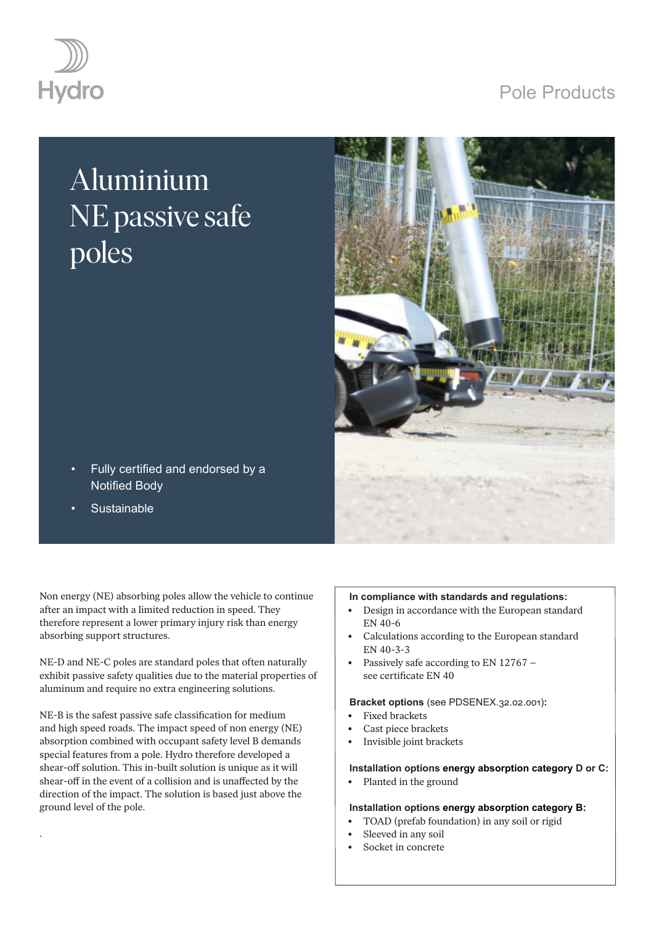## Pole Products



# Aluminium NE passive safe poles



- Fully certified and endorsed by a Notified Body
- **Sustainable**

.

Non energy (NE) absorbing poles allow the vehicle to continue after an impact with a limited reduction in speed. They therefore represent a lower primary injury risk than energy absorbing support structures.

NE-D and NE-C poles are standard poles that often naturally exhibit passive safety qualities due to the material properties of aluminum and require no extra engineering solutions.

NE-B is the safest passive safe classification for medium and high speed roads. The impact speed of non energy (NE) absorption combined with occupant safety level B demands special features from a pole. Hydro therefore developed a shear-off solution. This in-built solution is unique as it will shear-off in the event of a collision and is unaffected by the direction of the impact. The solution is based just above the ground level of the pole.

#### **In compliance with standards and regulations:**

- Design in accordance with the European standard EN 40-6
- Calculations according to the European standard EN 40-3-3
- Passively safe according to EN 12767 see certificate EN 40

#### **Bracket options** (see PDSENEX.32.02.001)**:**

- Fixed brackets
- Cast piece brackets
- Invisible joint brackets

#### **Installation options energy absorption category D or C:**

• Planted in the ground

#### **Installation options energy absorption category B:**

- TOAD (prefab foundation) in any soil or rigid
- Sleeved in any soil
- Socket in concrete